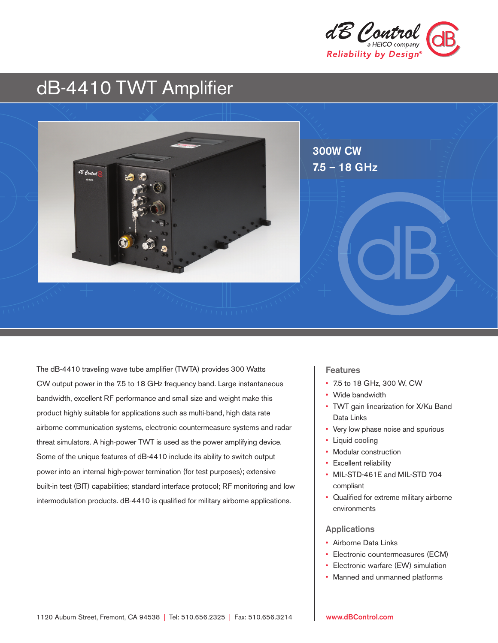

# dB-4410 TWT Amplifier



The dB-4410 traveling wave tube amplifier (TWTA) provides 300 Watts CW output power in the 7.5 to 18 GHz frequency band. Large instantaneous bandwidth, excellent RF performance and small size and weight make this product highly suitable for applications such as multi-band, high data rate airborne communication systems, electronic countermeasure systems and radar threat simulators. A high-power TWT is used as the power amplifying device. Some of the unique features of dB-4410 include its ability to switch output power into an internal high-power termination (for test purposes); extensive built-in test (BIT) capabilities; standard interface protocol; RF monitoring and low intermodulation products. dB-4410 is qualified for military airborne applications.

#### **Features**

- • 7.5 to 18 GHz, 300 W, CW
- Wide bandwidth
- TWT gain linearization for X/Ku Band Data Links
- Very low phase noise and spurious
- Liquid cooling
- Modular construction
- Excellent reliability
- MIL-STD-461E and MIL-STD 704 compliant
- Qualified for extreme military airborne environments

#### Applications

- Airborne Data Links
- • Electronic countermeasures (ECM)
- Electronic warfare (EW) simulation
- Manned and unmanned platforms